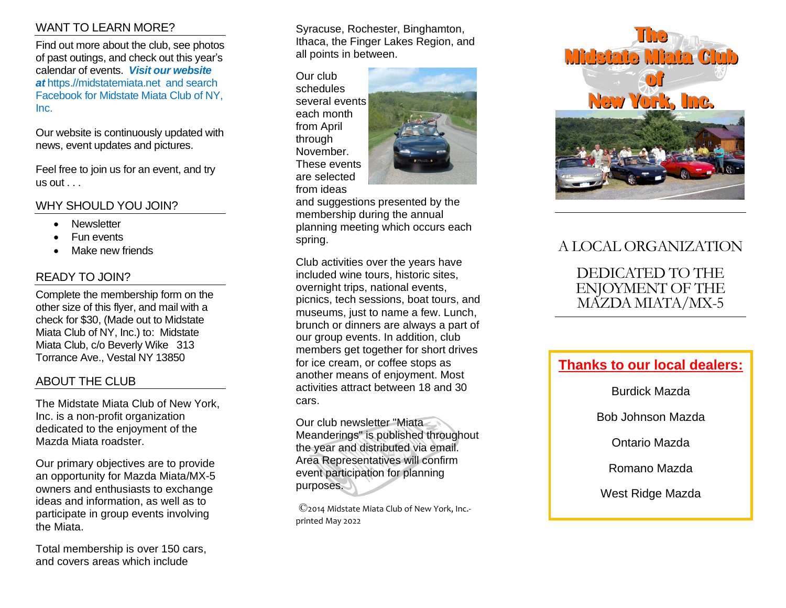## WANT TO LEARN MORE?

Find out more about the club, see photos of past outings, and check out this year 's calendar of events. *Visit our website*  at https.//midstatemiata.net and search Facebook for Midstate Miata Club of NY, Inc.

Our website is continuously updated with news, event updates and pictures.

Feel free to join us for an event, and try  $us out...$ 

WHY SHOULD YOU JOIN?

- **Newsletter**
- Fun events
- Make new friends

### READY TO JOIN?

Complete the membership form on the other size of this flyer, and mail with a check for \$30, (Made out to Midstate Mi ata Club of NY, Inc.) to : Midstate Miata Club, c/o Beverly Wike 313 Torrance Ave., Vestal NY 13850

### ABOUT THE CLUB

The Midstate Miata Club of New York, Inc. is a non -profit organization dedicated to the enjoyment of the Mazda Miata roadster.

Our primary objectives are to provide an opportunity for Mazda Miata/MX - 5 owners and enthusiasts to exchange ideas and information, as well as to participate in group events involving the Miata.

Total membership is over 1 5 0 cars, and covers areas which include

Syracuse, Rochester, Binghamton, Ithaca, the Finger Lakes Region, and all points in between.

Our club schedules several event s each month from April through November. These events are selected from ideas



and suggestions presented by the membership during the annual planning meeting which occurs each spring.

Club activities over the years have included wine tours, historic sites, overnight trips, national events, picnics, tech sessions, boat tours, and museums, just to name a few. Lunch, brunch or dinners are always a part of our group events. In addition , club members get together for short drives for ice cream, or coffee stops as another means of enjoyment. Most activities attract between 18 and 30 cars.

Our club newsletter "Miata Meanderings" is published throughout the year and distributed via email. Area Representatives will confirm event participation for planning purposes.

©2014 Midstate Miata Club of New York, Inc. printed May 2022



# A LOCAL ORGANIZATION

DEDICATED TO THE ENJOYMENT OF THE MAZDA MIATA/MX-5